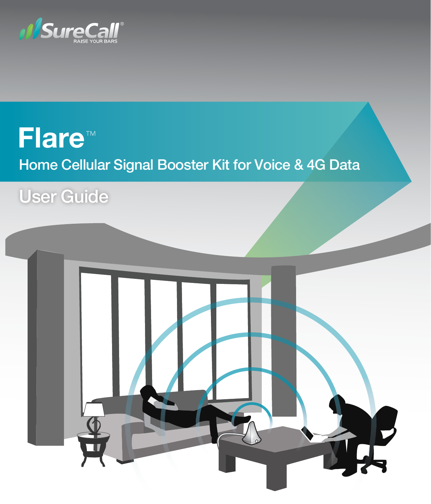

# **Flare**™Home Cellular Signal Booster Kit for Voice & 4G Data

# User Guide

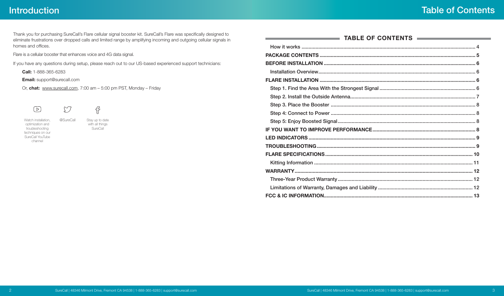## **Introduction**

**Service** 

Thank you for purchasing SureCall's Flare cellular signal booster kit. SureCall's Flare was specifically designed to eliminate frustrations over dropped calls and limited range by amplifying incoming and outgoing cellular signals in homes and offices.

Flare is a cellular booster that enhances voice and 4G data signal.

If you have any questions during setup, please reach out to our US-based experienced support technicians:

**Call:** 1-888-365-6283

**Email:** support@surecall.com

Or, **chat:** www.surecall.com, 7:00 am – 5:00 pm PST, Monday – Friday

 $\bigcirc$  $\begin{array}{c} \n\boxed{\triangleright} \n\end{array}$ 

Watch installation, optimization and troubleshooting techniques on our SureCall YouTube channel

@SureCall Stay up to date with all things **SureCall** 

f

| TABLE OF CONTENTS |  |  |  |  |
|-------------------|--|--|--|--|
|                   |  |  |  |  |
|                   |  |  |  |  |
|                   |  |  |  |  |
|                   |  |  |  |  |
|                   |  |  |  |  |
|                   |  |  |  |  |
|                   |  |  |  |  |
|                   |  |  |  |  |
|                   |  |  |  |  |
|                   |  |  |  |  |
|                   |  |  |  |  |
|                   |  |  |  |  |
|                   |  |  |  |  |
|                   |  |  |  |  |
|                   |  |  |  |  |
|                   |  |  |  |  |
|                   |  |  |  |  |
|                   |  |  |  |  |
|                   |  |  |  |  |
|                   |  |  |  |  |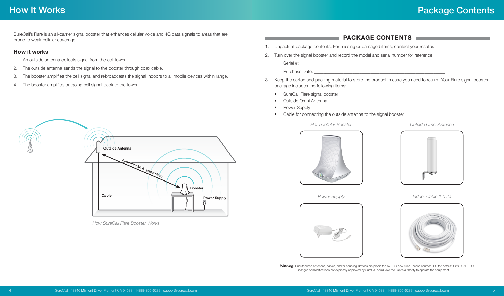## <span id="page-2-0"></span>How It Works

SureCall's Flare is an all-carrier signal booster that enhances cellular voice and 4G data signals to areas that are prone to weak cellular coverage.

#### **How it works**

- 1. An outside antenna collects signal from the cell tower.
- 2. The outside antenna sends the signal to the booster through coax cable.
- 3. The booster amplifies the cell signal and rebroadcasts the signal indoors to all mobile devices within range.
- 4. The booster amplifies outgoing cell signal back to the tower.



*How SureCall Flare Booster Works*

#### **PACKAGE CONTENTS**

- 1. Unpack all package contents. For missing or damaged items, contact your reseller.
- 2. Turn over the signal booster and record the model and serial number for reference:

Serial #: \_\_\_\_\_\_\_\_\_\_\_\_\_\_\_\_\_\_\_\_\_\_\_\_\_\_\_\_\_\_\_\_\_\_\_\_\_\_\_\_\_\_\_\_\_\_\_\_\_\_\_\_\_\_\_\_\_\_\_\_\_\_\_\_

Purchase Date:

- 3. Keep the carton and packing material to store the product in case you need to return. Your Flare signal booster package includes the following items:
	- SureCall Flare signal booster
	- Outside Omni Antenna
	- Power Supply
	- Cable for connecting the outside antenna to the signal booster



*Outside Omni Antenna*





*Power Supply*



*Indoor Cable (50 ft.)*



*Warning*: Unauthorized antennas, cables, and/or coupling devices are prohibited by FCC new rules. Please contact FCC for details: 1-888-CALL-FCC. Changes or modifications not expressly approved by SureCall could void the user's authority to operate the equipment.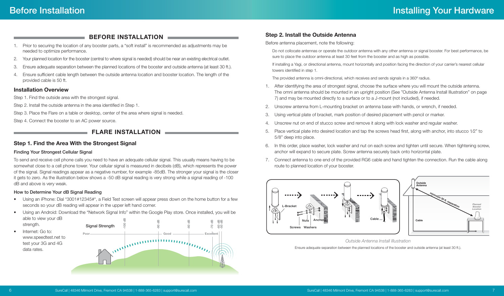#### **BEFORE INSTALLATION**

- <span id="page-3-0"></span>1. Prior to securing the location of any booster parts, a "soft install" is recommended as adjustments may be needed to optimize performance.
- 2. Your planned location for the booster (central to where signal is needed) should be near an existing electrical outlet.
- 3. Ensure adequate separation between the planned locations of the booster and outside antenna (at least 30 ft.).
- 4. Ensure sufficient cable length between the outside antenna location and booster location. The length of the provided cable is 50 ft.

#### **Installation Overview**

Step 1. Find the outside area with the strongest signal.

Step 2. Install the outside antenna in the area identified in Step 1.

Step 3. Place the Flare on a table or desktop, center of the area where signal is needed.

Step 4. Connect the booster to an AC power source.

### **FLARE INSTALLATION**

#### **Step 1. Find the Area With the Strongest Signal**

#### Finding Your Strongest Cellular Signal

To send and receive cell phone calls you need to have an adequate cellular signal. This usually means having to be somewhat close to a cell phone tower. Your cellular signal is measured in decibels (dB), which represents the power of the signal. Signal readings appear as a negative number, for example -85dB. The stronger your signal is the closer it gets to zero. As the illustration below shows a -50 dB signal reading is very strong while a signal reading of -100 dB and above is very weak.

#### How to Determine Your dB Signal Reading

- Using an iPhone: Dial \*3001#12345#\*, a Field Test screen will appear press down on the home button for a few seconds so your dB reading will appear in the upper left hand corner.
- Using an Android: Download the "Network Signal Info" within the Google Play store. Once installed, you will be able to view your dB
- **-100 dB -60 dB -90 dB -80 dB** strength. Signal Strength **-70 dB -50 dB** • Internet: Go to: **Excellent Poor Good**[www.speedtest.net](http://www.speedtest.net) to www.communication.com test your 3G and 4G data rates.

#### **Step 2. Install the Outside Antenna**

Before antenna placement, note the following:

Do not collocate antennas or operate the outdoor antenna with any other antenna or signal booster. For best performance, be sure to place the outdoor antenna at least 30 feet from the booster and as high as possible.

If installing a Yagi, or directional antenna, mount horizontally and position facing the direction of your carrier's nearest cellular towers identified in step 1.

The provided antenna is omni-directional, which receives and sends signals in a 360º radius.

- 1. After identifying the area of strongest signal, choose the surface where you will mount the outside antenna. The omni antenna should be mounted in an upright position (See ["Outside Antenna Install Illustration" on page](#page-3-1)  [7](#page-3-1)) and may be mounted directly to a surface or to a J-mount (not included), if needed.
- 2. Unscrew antenna from L-mounting bracket on antenna base with hands, or wrench, if needed.
- 3. Using vertical plate of bracket, mark position of desired placement with pencil or marker.
- 4. Unscrew nut on end of stucco screw and remove it along with lock washer and regular washer.
- 5. Place vertical plate into desired location and tap the screws head first, along with anchor, into stucco 1⁄2" to 5/8" deep into place.
- 6. In this order, place washer, lock washer and nut on each screw and tighten until secure. When tightening screw, anchor will expand to secure plate. Screw antenna securely back onto horizontal plate.
- 7. Connect antenna to one end of the provided RG6 cable and hand tighten the connection. Run the cable along route to planned location of your booster.



<span id="page-3-1"></span>*Outside Antenna Install Illustration* Ensure adequate separation between the planned locations of the booster and outside antenna (at least 30 ft.).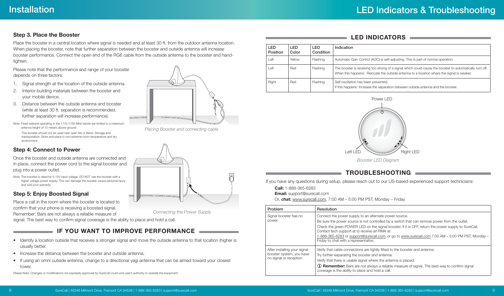#### <span id="page-4-0"></span>**Step 3. Place the Booster**

Place the booster in a central location where signal is needed and at least 30 ft. from the outdoor antenna location. When placing the booster, note that further separation between the booster and outside antenna will increase booster performance. Connect the open end of the RG6 cable from the outside antenna to the booster and handtighten.

Please note that the performance and range of your booster depends on three factors:

- 1. Signal strength at the location of the outside antenna.
- 2. Interior building materials between the booster and your mobile device.
- 3. Distance between the outside antenna and booster (while at least 30 ft. separation is recommended, further separation will increase performance).
- Note: Fixed stations operating in the 1710-1755 MHz bands are limited to a maximum antenna height of 10 meters above ground. This booster should not be used near open fire or flame. Storage and transportation: Store and place in non-extreme room-temperature and dry environment.

## **Step 4: Connect to Power**

Once the booster and outside antenna are connected and in place, connect the power cord to the signal booster and plug into a power outlet.

Note: This booster is rated for 5-15V input voltage. DO NOT use the booster with a higher voltage power supply. This can damage the booster, cause personal injury, and void your warranty.

#### **Step 5: Enjoy Boosted Signal**

Place a call in the room where the booster is located to confirm that your phone is receiving a boosted signal. Remember: Bars are not always a reliable measure of

signal. The best way to confirm signal coverage is the ability to place and hold a call.

## **IF YOU WANT TO IMPROVE PERFORMANCE**

- Identify a location outside that receives a stronger signal and move the outside antenna to that location (higher is usually better.
- Increase the distance between the booster and outside antenna.
- If using an omni outside antenna, change to a directional yagi antenna that can be aimed toward your closest tower.

Please Note: Changes or modifications not expressly approved by SureCall could void user's authority to operate the equipment.



*Placing Booster and connecting cable*



*Connecting the Power Supply*

#### **LED INDICATORS**

| LED<br>Position | LED<br>Color | <b>LED</b><br>Condition | Indication                                                                                                                                                                                            |
|-----------------|--------------|-------------------------|-------------------------------------------------------------------------------------------------------------------------------------------------------------------------------------------------------|
| Left            | Yellow       | Flashing                | Automatic Gain Control (AGC) is self-adjusting. This is part of normal operation.                                                                                                                     |
| Left            | Red          | Flashing                | The booster is receiving too strong of a signal which could cause the booster to automatically turn off.<br>When this happens: Relocate the outside antenna to a location where the signal is weaker. |
| Right           | Red          | Flashing                | Self-oscillation has been prevented.<br>If this happens: Increase the separation between outside antenna and the booster.                                                                             |



## **TROUBLESHOOTING**

If you have any questions during setup, please reach out to our US-based experienced support technicians:

**Call:** 1-888-365-6283

**Email:** support@surecall.com

Or, **chat:** www.surecall.com, 7:00 AM – 5:00 PM PST, Monday – Friday

| Problem                                                                            | Resolution                                                                                                                                                                                                                                                                                                                                                                                                                                                    |
|------------------------------------------------------------------------------------|---------------------------------------------------------------------------------------------------------------------------------------------------------------------------------------------------------------------------------------------------------------------------------------------------------------------------------------------------------------------------------------------------------------------------------------------------------------|
| Signal booster has no<br>power                                                     | Connect the power supply to an alternate power source.<br>Be sure the power source is not controlled by a switch that can remove power from the outlet.<br>Check the green POWER LED on the signal booster. If it is OFF, return the power supply to SureCall.<br>Contact tech support at to receive an RMA at:<br>1-888-365-6283 or support@surecall.com, or go to www.surecall.com 7:00 AM – 5:00 PM PST, Monday –<br>Friday to chat with a representative. |
| After installing your signal<br>booster system, you have<br>no signal or reception | Verify that cable connections are tightly fitted to the booster and antenna.<br>Try further separating the booster and antenna.<br>Verify that there is usable signal where the antenna is placed.<br>(i) Remember: Bars are not always a reliable measure of signal. The best way to confirm signal<br>coverage is the ability to place and hold a call.                                                                                                     |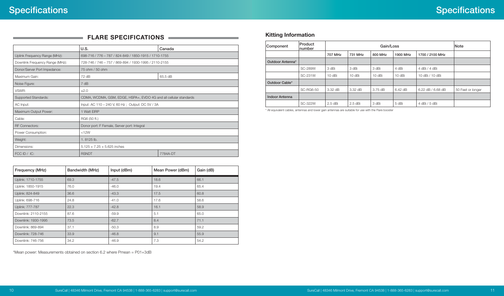<span id="page-5-0"></span>

| $\blacksquare$ FLARE SPECIFICATIONS |  |
|-------------------------------------|--|
|                                     |  |
|                                     |  |

|                                 | U.S.                                                              | Canada |  |  |
|---------------------------------|-------------------------------------------------------------------|--------|--|--|
| Uplink Frequency Range (MHz):   | 698-716 / 776 - 787 / 824-849 / 1850-1915 / 1710-1755             |        |  |  |
| Downlink Frequency Range (MHz): | 728-746 / 746 - 757 / 869-894 / 1930-1995 / 2110-2155             |        |  |  |
| Donor/Server Port Impedance:    | 75 ohm / 50 ohm                                                   |        |  |  |
| Maximum Gain:                   | 65.5 dB<br>72 dB                                                  |        |  |  |
| Noise Figure:                   | 7 dB                                                              |        |  |  |
| VSWR:                           | $\leq 2.0$                                                        |        |  |  |
| <b>Supported Standards:</b>     | CDMA, WCDMA, GSM, EDGE, HSPA+, EVDO 4G and all cellular standards |        |  |  |
| AC Input:                       | Input: AC 110 - 240 V, 60 Hz; Output: DC 5V / 3A                  |        |  |  |
| Maximum Output Power:           | 1 Watt EIRP                                                       |        |  |  |
| Cable:                          | RG6 (50 ft.)                                                      |        |  |  |
| <b>RF Connectors:</b>           | Donor port: F Female, Server port: Integral                       |        |  |  |
| Power Consumption:              | <12W                                                              |        |  |  |
| Weight:                         | 1.8125 lb.                                                        |        |  |  |
| Dimensions:                     | $5.125 \times 7.25 \times 5.625$ inches                           |        |  |  |
| FCC ID / IC:                    | <b>RSNDT</b><br>7784A-DT                                          |        |  |  |

| Frequency (MHz)     | Bandwidth (MHz) | Input (dBm) | Mean Power (dBm) | Gain (dB) |
|---------------------|-----------------|-------------|------------------|-----------|
| Uplink: 1710-1755   | 69.3            | $-47.5$     | 18.6             | 66.1      |
| Uplink: 1850-1915   | 76.0            | $-46.0$     | 19.4             | 65.4      |
| Uplink: 824-849     | 36.6            | $-43.3$     | 17.5             | 60.8      |
| Uplink: 698-716     | 24.8            | $-41.0$     | 17.6             | 58.6      |
| Uplink: 777-787     | 22.3            | $-42.8$     | 16.1             | 58.9      |
| Downlink: 2110-2155 | 87.6            | $-59.9$     | 5.1              | 65.0      |
| Downlink: 1930-1995 | 73.5            | $-62.7$     | 8.4              | 71.1      |
| Downlink: 869-894   | 37.1            | $-50.3$     | 8.9              | 59.2      |
| Downlink: 728-746   | 33.9            | $-46.8$     | 9.1              | 55.9      |
| Downlink: 746-756   | 34.2            | $-46.9$     | 7.3              | 54.2      |

\*Mean power: Measurements obtained on section 6.2 where Pmean = P01+3dB

### **Kitting Information**

| Component             | Product<br>Inumber | Gain/Loss |                   |         |                  | Note              |                   |
|-----------------------|--------------------|-----------|-------------------|---------|------------------|-------------------|-------------------|
|                       |                    | 707 MHz   | 731 MHz           | 800 MHz | 1900 MHz         | 1700 / 2100 MHz   |                   |
| Outdoor Antenna*      |                    |           |                   |         |                  |                   |                   |
|                       | <b>SC-289W</b>     | 3 dBi     | 3 dBi             | 3 dBi   | 4 dBi            | 4 dBi / 4 dBi     |                   |
|                       | SC-231W            | 10 dBi    | 10 dBi            | 10 dBi  | 10 dBi           | 10 dBi / 10 dBi   |                   |
| Outdoor Cable*        |                    |           |                   |         |                  |                   |                   |
|                       | <b>SC-RG6-50</b>   | 3.32 dB   | $3.32 \text{ dB}$ | 3.75dB  | $6.42\text{ dB}$ | 6.22 dB / 6.68 dB | 50 Feet or longer |
| <b>Indoor Antenna</b> |                    |           |                   |         |                  |                   |                   |
|                       | SC-322W            | $2.5$ dBi | $2.5$ dBi         | 3 dBi   | 5 dBi            | 4 dBi / 5 dBi     |                   |

\* All equivalent cables, antennas and lower gain antennas are suitable for use with the Flare booster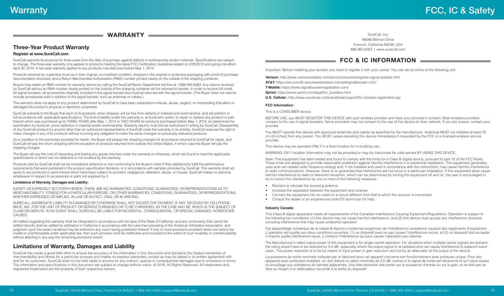#### **WARRANTY**

## <span id="page-6-0"></span>**Three-Year Product Warranty**

#### **Register at [www.SureCall.com](http://www.surecall.com)**

SureCall warrants its products for three years from the date of purchase against defects in workmanship and/or materials. Specifications are subject to change. The three-year warranty only applies to products meeting the latest FCC Certification Guidelines stated on 2/20/2013 and going into effect April 30, 2014. A two-year warranty applies to any products manufactured before May 1, 2014.

Products returned by customers must be in their original, un-modified condition, shipped in the original or protective packaging with proof-of-purchase documentation enclosed, and a Return Merchandise Authorization (RMA) number printed clearly on the outside of the shipping container.

Buyers may obtain an RMA number for warranty returns by calling the SureCall Return Department toll-free at 1-888-365-6283. Any returns received by SureCall without an RMA number clearly printed on the outside of the shipping container will be returned to sender. In order to receive full credit for signal boosters, all accessories originally included in the signal booster box must be returned with the signal booster. (The Buyer does not need to include accessories sold in addition to the signal booster, such as antennas or cables.)

This warranty does not apply to any product determined by SureCall to have been subjected to misuse, abuse, neglect, or mishandling that alters or damages the product's physical or electronic properties.

SureCall warrants to the Buyer that each of its products, when shipped, will be free from defects in material and workmanship, and will perform in full accordance with applicable specifications. The limit of liability under this warranty is, at SureCall's option, to repair or replace any product or part thereof which was purchased up to THREE YEARS after May 1, 2014 or TWO YEARS for products purchased before May 1, 2014, as determined by examination by SureCall, prove defective in material and/or workmanship. Warranty returns must first be authorized in writing by SureCall. Disassembly of any SureCall product by anyone other than an authorized representative of SureCall voids this warranty in its entirety. SureCall reserves the right to make changes in any of its products without incurring any obligation to make the same changes on previously delivered products.

As a condition to the warranties provided for herein, the Buyer will prepay the shipping charges for all products returned to SureCall for repair, and SureCall will pay the return shipping with the exception of products returned from outside the United States, in which case the Buyer will pay the shipping charges.

The Buyer will pay the cost of inspecting and testing any goods returned under the warranty or otherwise, which are found to meet the applicable specifications or which are not defective or not covered by this warranty.

Products sold by SureCall shall not be considered defective or non-conforming to the Buyer's order if they satisfactorily fulfill the performance requirements that were published in the product specification literature, or in accordance with samples provided by SureCall. This warranty shall not apply to any products or parts thereof which have been subject to accident, negligence, alteration, abuse, or misuse. SureCall makes no warranty whatsoever in respect to accessories or parts not supplied by it.

#### **Limitations of Warranty, Damages and Liability:**

EXCEPT AS EXPRESSLY SET FORTH HEREIN, THERE ARE NO WARRANTIES, CONDITIONS, GUARANTEES, OR REPRESENTATIONS AS TO MERCHANTABILITY, FITNESS FOR A PARTICULAR PURPOSE, OR OTHER WARRANTIES, CONDITIONS, GUARANTEES, OR REPRESENTATIONS, WHETHER EXPRESSED OR IMPLIED, IN LAW OR IN FACT, ORAL OR IN WRITING.

SURECALL AGGREGATE LIABILITY IN DAMAGES OR OTHERWISE SHALL NOT EXCEED THE PAYMENT, IF ANY, RECEIVED BY CELLPHONE-MATE, INC. FOR THE UNIT OF PRODUCT OR SERVICE FURNISHED OR TO BE FURNISHED, AS THE CASE MAY BE, WHICH IS THE SUBJECT OF CLAIM OR DISPUTE. IN NO EVENT SHALL SURECALL BE LIABLE FOR INCIDENTAL, CONSEQUENTIAL, OR SPECIAL DAMAGES, HOWSOEVER CAUSED.

All matters regarding this warranty shall be interpreted in accordance with the laws of the State of California, and any controversy that cannot be settled directly shall be settled by arbitration in California in accordance with the rules then prevailing of the American Arbitration Association, and judgment upon the award rendered may be entered in any court having jurisdiction thereof. If one or more provisions provided herein are held to be invalid or unenforceable under applicable law, then such provision shall be ineffective and excluded to the extent of such invalidity or unenforceability without affecting in any way the remaining provisions hereof.

#### **Limitations of Warranty, Damages and Liability**

SureCall has made a good faith effort to ensure the accuracy of the information in this document and disclaims the implied warranties of merchantability and fitness for a particular purpose and makes no express warranties, except as may be stated in its written agreement with and for its customers. SureCall shall not be held liable to anyone for any indirect, special or consequential damages due to omissions or errors. The information and specifications in this document are subject to change without notice. © 2016. All Rights Reserved. All trademarks and registered trademarks are the property of their respective owners.

SureCall, Inc 48346 Milmont Drive Fremont, California 94538, USA 888.365.6283 | www.surecall.com

### **FCC & IC INFORMATION**

Important: Before installing your booster you need to register it with your carrier. You can do so online at the following urls:

**Verizon:** http://www.verizonwireless.com/wcms/consumer/register-signal-booster.html

**AT&T:** https://securec45.securewebsession.com/attsignalbooster.com/

**T-Mobile:** https://www.signalboosterregistration.com/

**Sprint:** https://www.sprint.com/legal/fcc\_boosters.html

**U.S. Cellular:** http://www.uscellular.com/uscellular/support/fcc-booster-registration.jsp

#### **FCC Information:**

This is a CONSUMER device.

BEFORE USE, you MUST REGISTER THIS DEVICE with your wireless provider and have your provider's consent. Most wireless providers consent to the use of signal boosters. Some providers may not consent to the use of this device on their network. If you are unsure, contact your provider.

You MUST operate this device with approved antennas and cables as specified by the manufacturer. Antennas MUST be installed at least 20 cm (8 inches) from any person. You MUST cease operating this device immediately if requested by the FCC or a licensed wireless service provider.

This device may be operated ONLY in a fixed location for in-building use.

WARNING: E911 location information may not be provided or may be inaccurate for calls served BY USING THIS DEVICE.

Note: This equipment has been tested and found to comply with the limits for a Class B digital device, pursuant to part 15 of the FCC Rules. These limits are designed to provide reasonable protection against harmful interference in a residential installation. This equipment generates, uses and can radiate radio frequency energy and, if not installed and used in accordance with the instructions, may cause harmful interference to radio communications. However, there is no guarantee that interference will not occur in a particular installation. If this equipment does cause harmful interference to radio or television reception, which can be determined by turning the equipment off and on, the user is encouraged to try to correct the interference by one or more of the following measures:

- Reorient or relocate the receiving antenna
- Increase the separation between the equipment and receiver.
- Connect the equipment into an outlet on a circuit different from that to which the receiver is connected
- Consult the dealer or an experienced radio/TV technician for help.

#### **Industry Canada:**

This Class B digital apparatus meets all requirements of the Canadian Interference Causing Equipment Regulations. Operation is subject to the following two conditions: (1) this device may not cause harmful interference, and (2) this device must accept any interference received, including interference that may cause undesired operation

Cet appareillage numérique de la classe B répond a toutes les exigencies de l'interférence canadienne causant des réglements d'équipment. L'opération est sujette aux deux conditions suivantes: (1) ce dispositif peut ne pas causer l'interférence nocive, et (2) ce dispositif doit accepter n'importe quelle intérference reçue, y compris l'intérference qui peut causer l'opération peu désirée.

The Manufacturer's rated output power of this equipment is for single carrier operation. For situations when multiple carrier signals are present, the rating would have to be reduced by 3.5 dB, especially where the output signal is re-radiated and can cause interference to adjacent band users. This power reduction is to be by means of input power or gain reduction and not by an attenuator at the output of the device.

La puissance de sortie nominale indiquée par le fabricant pour cet appareil concerne son fonctionnement avec porteuse unique. Pour des appareils avec porteuses multiples, on doit réduire la valeur nominale de 3,5 dB, surtout si le signal de sortie est retransmis et qu'il peut causer du brouillage aux utilisateurs de bandes adjacentes. Une telle réduction doit porter sur la puissance d'entrée ou sur le gain, et ne doit pas se faire au moyen d'un atténuateur raccordé à la sortie du dispositif